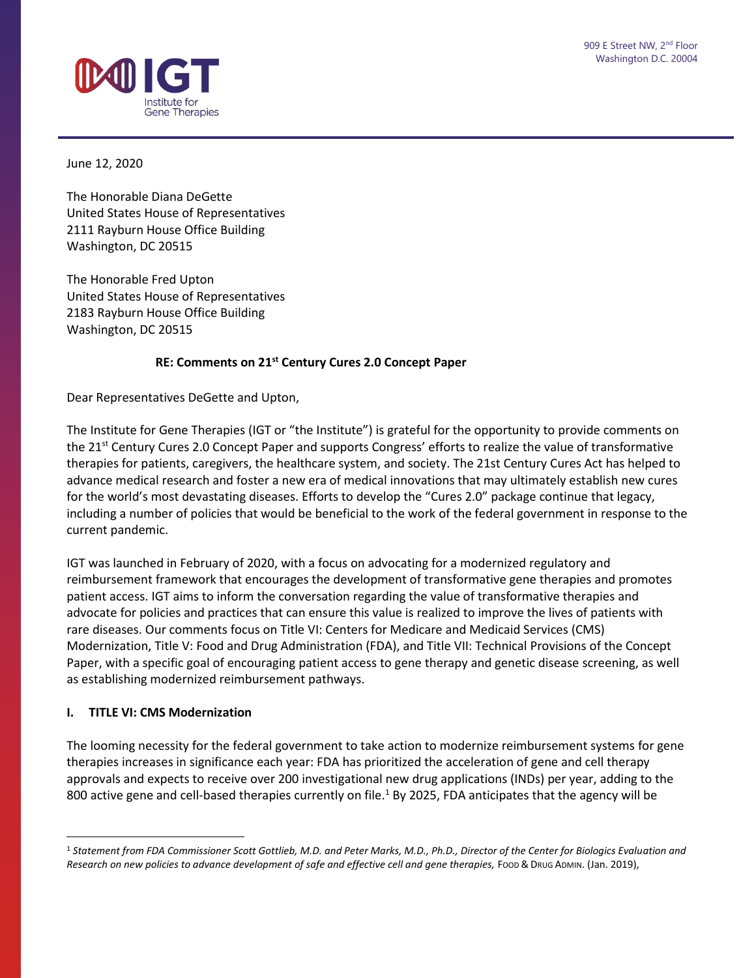

June 12, 2020

The Honorable Diana DeGette United States House of Representatives 2111 Rayburn House Office Building Washington, DC 20515

The Honorable Fred Upton United States House of Representatives 2183 Rayburn House Office Building Washington, DC 20515

#### **RE: Comments on 21st Century Cures 2.0 Concept Paper**

Dear Representatives DeGette and Upton,

The Institute for Gene Therapies (IGT or "the Institute") is grateful for the opportunity to provide comments on the 21<sup>st</sup> Century Cures 2.0 Concept Paper and supports Congress' efforts to realize the value of transformative therapies for patients, caregivers, the healthcare system, and society. The 21st Century Cures Act has helped to advance medical research and foster a new era of medical innovations that may ultimately establish new cures for the world's most devastating diseases. Efforts to develop the "Cures 2.0" package continue that legacy, including a number of policies that would be beneficial to the work of the federal government in response to the current pandemic.

IGT was launched in February of 2020, with a focus on advocating for a modernized regulatory and reimbursement framework that encourages the development of transformative gene therapies and promotes patient access. IGT aims to inform the conversation regarding the value of transformative therapies and advocate for policies and practices that can ensure this value is realized to improve the lives of patients with rare diseases. Our comments focus on Title VI: Centers for Medicare and Medicaid Services (CMS) Modernization, Title V: Food and Drug Administration (FDA), and Title VII: Technical Provisions of the Concept Paper, with a specific goal of encouraging patient access to gene therapy and genetic disease screening, as well as establishing modernized reimbursement pathways.

### **I. TITLE VI: CMS Modernization**

 $\overline{a}$ 

The looming necessity for the federal government to take action to modernize reimbursement systems for gene therapies increases in significance each year: FDA has prioritized the acceleration of gene and cell therapy approvals and expects to receive over 200 investigational new drug applications (INDs) per year, adding to the 800 active gene and cell-based therapies currently on file.<sup>1</sup> By 2025, FDA anticipates that the agency will be

<sup>1</sup> *Statement from FDA Commissioner Scott Gottlieb, M.D. and Peter Marks, M.D., Ph.D., Director of the Center for Biologics Evaluation and*  Research on new policies to advance development of safe and effective cell and gene therapies, Foop & DRUG ADMIN. (Jan. 2019),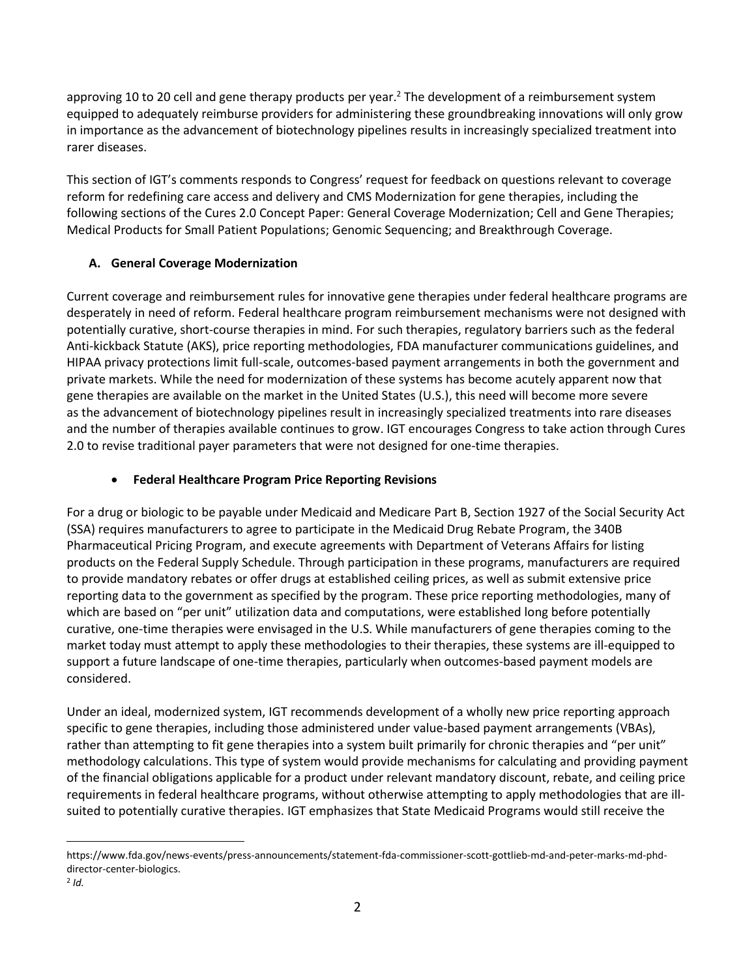approving 10 to 20 cell and gene therapy products per year.<sup>2</sup> The development of a reimbursement system equipped to adequately reimburse providers for administering these groundbreaking innovations will only grow in importance as the advancement of biotechnology pipelines results in increasingly specialized treatment into rarer diseases.

This section of IGT's comments responds to Congress' request for feedback on questions relevant to coverage reform for redefining care access and delivery and CMS Modernization for gene therapies, including the following sections of the Cures 2.0 Concept Paper: General Coverage Modernization; Cell and Gene Therapies; Medical Products for Small Patient Populations; Genomic Sequencing; and Breakthrough Coverage.

# **A. General Coverage Modernization**

Current coverage and reimbursement rules for innovative gene therapies under federal healthcare programs are desperately in need of reform. Federal healthcare program reimbursement mechanisms were not designed with potentially curative, short-course therapies in mind. For such therapies, regulatory barriers such as the federal Anti-kickback Statute (AKS), price reporting methodologies, FDA manufacturer communications guidelines, and HIPAA privacy protections limit full-scale, outcomes-based payment arrangements in both the government and private markets. While the need for modernization of these systems has become acutely apparent now that gene therapies are available on the market in the United States (U.S.), this need will become more severe as the advancement of biotechnology pipelines result in increasingly specialized treatments into rare diseases and the number of therapies available continues to grow. IGT encourages Congress to take action through Cures 2.0 to revise traditional payer parameters that were not designed for one-time therapies.

## **Federal Healthcare Program Price Reporting Revisions**

For a drug or biologic to be payable under Medicaid and Medicare Part B, Section 1927 of the Social Security Act (SSA) requires manufacturers to agree to participate in the Medicaid Drug Rebate Program, the 340B Pharmaceutical Pricing Program, and execute agreements with Department of Veterans Affairs for listing products on the Federal Supply Schedule. Through participation in these programs, manufacturers are required to provide mandatory rebates or offer drugs at established ceiling prices, as well as submit extensive price reporting data to the government as specified by the program. These price reporting methodologies, many of which are based on "per unit" utilization data and computations, were established long before potentially curative, one-time therapies were envisaged in the U.S. While manufacturers of gene therapies coming to the market today must attempt to apply these methodologies to their therapies, these systems are ill-equipped to support a future landscape of one-time therapies, particularly when outcomes-based payment models are considered.

Under an ideal, modernized system, IGT recommends development of a wholly new price reporting approach specific to gene therapies, including those administered under value-based payment arrangements (VBAs), rather than attempting to fit gene therapies into a system built primarily for chronic therapies and "per unit" methodology calculations. This type of system would provide mechanisms for calculating and providing payment of the financial obligations applicable for a product under relevant mandatory discount, rebate, and ceiling price requirements in federal healthcare programs, without otherwise attempting to apply methodologies that are illsuited to potentially curative therapies. IGT emphasizes that State Medicaid Programs would still receive the

 $\overline{a}$ 

[https://www.fda.gov/news-events/press-announcements/statement-fda-commissioner-scott-gottlieb-md-and-peter-marks-md-phd](https://www.fda.gov/news-events/press-announcements/statement-fda-commissioner-scott-gottlieb-md-and-peter-marks-md-phd-director-center-biologics)[director-center-biologics.](https://www.fda.gov/news-events/press-announcements/statement-fda-commissioner-scott-gottlieb-md-and-peter-marks-md-phd-director-center-biologics)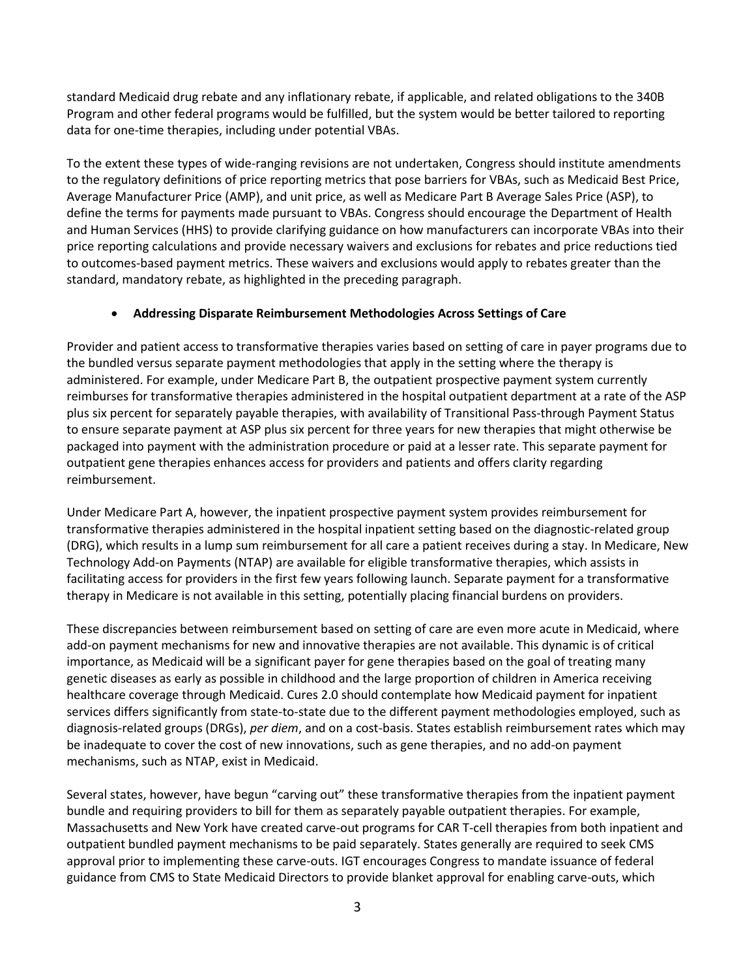standard Medicaid drug rebate and any inflationary rebate, if applicable, and related obligations to the 340B Program and other federal programs would be fulfilled, but the system would be better tailored to reporting data for one-time therapies, including under potential VBAs.

To the extent these types of wide-ranging revisions are not undertaken, Congress should institute amendments to the regulatory definitions of price reporting metrics that pose barriers for VBAs, such as Medicaid Best Price, Average Manufacturer Price (AMP), and unit price, as well as Medicare Part B Average Sales Price (ASP), to define the terms for payments made pursuant to VBAs. Congress should encourage the Department of Health and Human Services (HHS) to provide clarifying guidance on how manufacturers can incorporate VBAs into their price reporting calculations and provide necessary waivers and exclusions for rebates and price reductions tied to outcomes-based payment metrics. These waivers and exclusions would apply to rebates greater than the standard, mandatory rebate, as highlighted in the preceding paragraph.

# **Addressing Disparate Reimbursement Methodologies Across Settings of Care**

Provider and patient access to transformative therapies varies based on setting of care in payer programs due to the bundled versus separate payment methodologies that apply in the setting where the therapy is administered. For example, under Medicare Part B, the outpatient prospective payment system currently reimburses for transformative therapies administered in the hospital outpatient department at a rate of the ASP plus six percent for separately payable therapies, with availability of Transitional Pass-through Payment Status to ensure separate payment at ASP plus six percent for three years for new therapies that might otherwise be packaged into payment with the administration procedure or paid at a lesser rate. This separate payment for outpatient gene therapies enhances access for providers and patients and offers clarity regarding reimbursement.

Under Medicare Part A, however, the inpatient prospective payment system provides reimbursement for transformative therapies administered in the hospital inpatient setting based on the diagnostic-related group (DRG), which results in a lump sum reimbursement for all care a patient receives during a stay. In Medicare, New Technology Add-on Payments (NTAP) are available for eligible transformative therapies, which assists in facilitating access for providers in the first few years following launch. Separate payment for a transformative therapy in Medicare is not available in this setting, potentially placing financial burdens on providers.

These discrepancies between reimbursement based on setting of care are even more acute in Medicaid, where add-on payment mechanisms for new and innovative therapies are not available. This dynamic is of critical importance, as Medicaid will be a significant payer for gene therapies based on the goal of treating many genetic diseases as early as possible in childhood and the large proportion of children in America receiving healthcare coverage through Medicaid. Cures 2.0 should contemplate how Medicaid payment for inpatient services differs significantly from state-to-state due to the different payment methodologies employed, such as diagnosis-related groups (DRGs), *per diem*, and on a cost-basis. States establish reimbursement rates which may be inadequate to cover the cost of new innovations, such as gene therapies, and no add-on payment mechanisms, such as NTAP, exist in Medicaid.

Several states, however, have begun "carving out" these transformative therapies from the inpatient payment bundle and requiring providers to bill for them as separately payable outpatient therapies. For example, Massachusetts and New York have created carve-out programs for CAR T-cell therapies from both inpatient and outpatient bundled payment mechanisms to be paid separately. States generally are required to seek CMS approval prior to implementing these carve-outs. IGT encourages Congress to mandate issuance of federal guidance from CMS to State Medicaid Directors to provide blanket approval for enabling carve-outs, which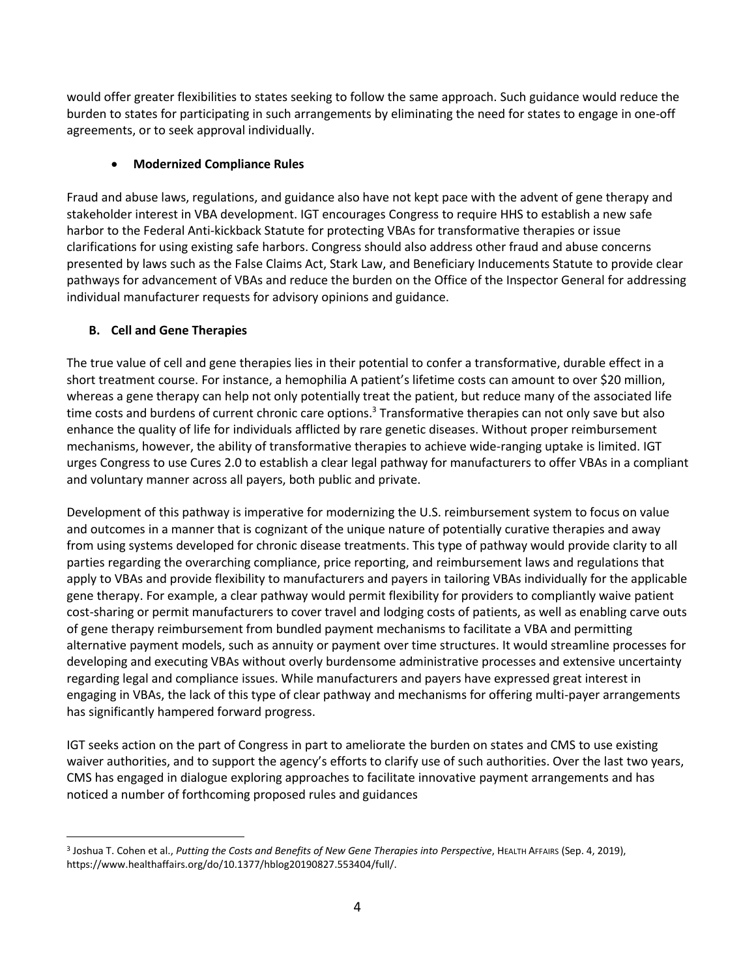would offer greater flexibilities to states seeking to follow the same approach. Such guidance would reduce the burden to states for participating in such arrangements by eliminating the need for states to engage in one-off agreements, or to seek approval individually.

# **Modernized Compliance Rules**

Fraud and abuse laws, regulations, and guidance also have not kept pace with the advent of gene therapy and stakeholder interest in VBA development. IGT encourages Congress to require HHS to establish a new safe harbor to the Federal Anti-kickback Statute for protecting VBAs for transformative therapies or issue clarifications for using existing safe harbors. Congress should also address other fraud and abuse concerns presented by laws such as the False Claims Act, Stark Law, and Beneficiary Inducements Statute to provide clear pathways for advancement of VBAs and reduce the burden on the Office of the Inspector General for addressing individual manufacturer requests for advisory opinions and guidance.

# **B. Cell and Gene Therapies**

 $\overline{a}$ 

The true value of cell and gene therapies lies in their potential to confer a transformative, durable effect in a short treatment course. For instance, a hemophilia A patient's lifetime costs can amount to over \$20 million, whereas a gene therapy can help not only potentially treat the patient, but reduce many of the associated life time costs and burdens of current chronic care options.<sup>3</sup> Transformative therapies can not only save but also enhance the quality of life for individuals afflicted by rare genetic diseases. Without proper reimbursement mechanisms, however, the ability of transformative therapies to achieve wide-ranging uptake is limited. IGT urges Congress to use Cures 2.0 to establish a clear legal pathway for manufacturers to offer VBAs in a compliant and voluntary manner across all payers, both public and private.

Development of this pathway is imperative for modernizing the U.S. reimbursement system to focus on value and outcomes in a manner that is cognizant of the unique nature of potentially curative therapies and away from using systems developed for chronic disease treatments. This type of pathway would provide clarity to all parties regarding the overarching compliance, price reporting, and reimbursement laws and regulations that apply to VBAs and provide flexibility to manufacturers and payers in tailoring VBAs individually for the applicable gene therapy. For example, a clear pathway would permit flexibility for providers to compliantly waive patient cost-sharing or permit manufacturers to cover travel and lodging costs of patients, as well as enabling carve outs of gene therapy reimbursement from bundled payment mechanisms to facilitate a VBA and permitting alternative payment models, such as annuity or payment over time structures. It would streamline processes for developing and executing VBAs without overly burdensome administrative processes and extensive uncertainty regarding legal and compliance issues. While manufacturers and payers have expressed great interest in engaging in VBAs, the lack of this type of clear pathway and mechanisms for offering multi-payer arrangements has significantly hampered forward progress.

IGT seeks action on the part of Congress in part to ameliorate the burden on states and CMS to use existing waiver authorities, and to support the agency's efforts to clarify use of such authorities. Over the last two years, CMS has engaged in dialogue exploring approaches to facilitate innovative payment arrangements and has noticed a number of forthcoming proposed rules and guidances

<sup>3</sup> Joshua T. Cohen et al., *Putting the Costs and Benefits of New Gene Therapies into Perspective*, HEALTH AFFAIRS (Sep. 4, 2019), https://www.healthaffairs.org/do/10.1377/hblog20190827.553404/full/.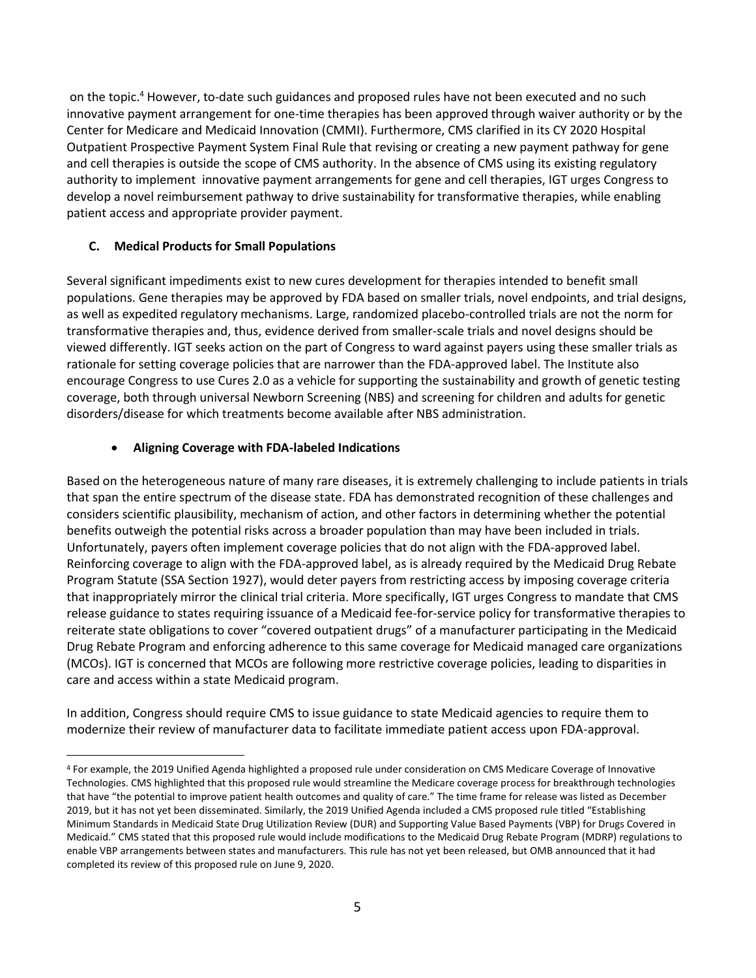on the topic.<sup>4</sup> However, to-date such guidances and proposed rules have not been executed and no such innovative payment arrangement for one-time therapies has been approved through waiver authority or by the Center for Medicare and Medicaid Innovation (CMMI). Furthermore, CMS clarified in its CY 2020 Hospital Outpatient Prospective Payment System Final Rule that revising or creating a new payment pathway for gene and cell therapies is outside the scope of CMS authority. In the absence of CMS using its existing regulatory authority to implement innovative payment arrangements for gene and cell therapies, IGT urges Congress to develop a novel reimbursement pathway to drive sustainability for transformative therapies, while enabling patient access and appropriate provider payment.

# **C. Medical Products for Small Populations**

 $\overline{a}$ 

Several significant impediments exist to new cures development for therapies intended to benefit small populations. Gene therapies may be approved by FDA based on smaller trials, novel endpoints, and trial designs, as well as expedited regulatory mechanisms. Large, randomized placebo-controlled trials are not the norm for transformative therapies and, thus, evidence derived from smaller-scale trials and novel designs should be viewed differently. IGT seeks action on the part of Congress to ward against payers using these smaller trials as rationale for setting coverage policies that are narrower than the FDA-approved label. The Institute also encourage Congress to use Cures 2.0 as a vehicle for supporting the sustainability and growth of genetic testing coverage, both through universal Newborn Screening (NBS) and screening for children and adults for genetic disorders/disease for which treatments become available after NBS administration.

## **Aligning Coverage with FDA-labeled Indications**

Based on the heterogeneous nature of many rare diseases, it is extremely challenging to include patients in trials that span the entire spectrum of the disease state. FDA has demonstrated recognition of these challenges and considers scientific plausibility, mechanism of action, and other factors in determining whether the potential benefits outweigh the potential risks across a broader population than may have been included in trials. Unfortunately, payers often implement coverage policies that do not align with the FDA-approved label. Reinforcing coverage to align with the FDA-approved label, as is already required by the Medicaid Drug Rebate Program Statute (SSA Section 1927), would deter payers from restricting access by imposing coverage criteria that inappropriately mirror the clinical trial criteria. More specifically, IGT urges Congress to mandate that CMS release guidance to states requiring issuance of a Medicaid fee-for-service policy for transformative therapies to reiterate state obligations to cover "covered outpatient drugs" of a manufacturer participating in the Medicaid Drug Rebate Program and enforcing adherence to this same coverage for Medicaid managed care organizations (MCOs). IGT is concerned that MCOs are following more restrictive coverage policies, leading to disparities in care and access within a state Medicaid program.

In addition, Congress should require CMS to issue guidance to state Medicaid agencies to require them to modernize their review of manufacturer data to facilitate immediate patient access upon FDA-approval.

<sup>4</sup> For example, the 2019 Unified Agenda highlighted a proposed rule under consideration on CMS Medicare Coverage of Innovative Technologies. CMS highlighted that this proposed rule would streamline the Medicare coverage process for breakthrough technologies that have "the potential to improve patient health outcomes and quality of care." The time frame for release was listed as December 2019, but it has not yet been disseminated. Similarly, the 2019 Unified Agenda included a CMS proposed rule titled "Establishing Minimum Standards in Medicaid State Drug Utilization Review (DUR) and Supporting Value Based Payments (VBP) for Drugs Covered in Medicaid." CMS stated that this proposed rule would include modifications to the Medicaid Drug Rebate Program (MDRP) regulations to enable VBP arrangements between states and manufacturers. This rule has not yet been released, but OMB announced that it had completed its review of this proposed rule on June 9, 2020.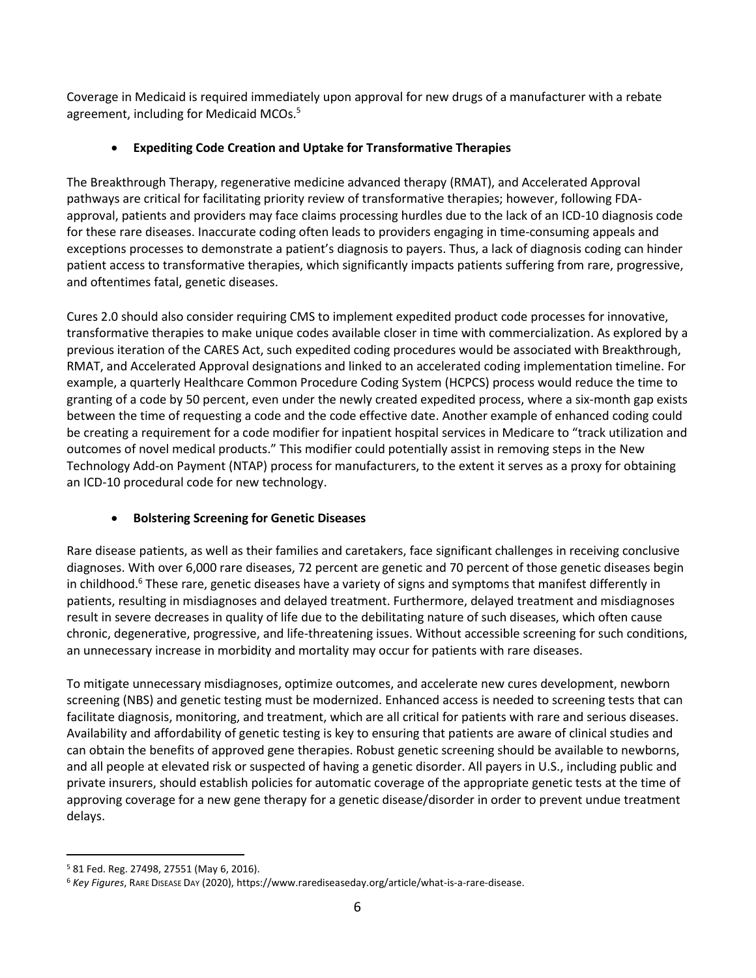Coverage in Medicaid is required immediately upon approval for new drugs of a manufacturer with a rebate agreement, including for Medicaid MCOs.<sup>5</sup>

# **Expediting Code Creation and Uptake for Transformative Therapies**

The Breakthrough Therapy, regenerative medicine advanced therapy (RMAT), and Accelerated Approval pathways are critical for facilitating priority review of transformative therapies; however, following FDAapproval, patients and providers may face claims processing hurdles due to the lack of an ICD-10 diagnosis code for these rare diseases. Inaccurate coding often leads to providers engaging in time-consuming appeals and exceptions processes to demonstrate a patient's diagnosis to payers. Thus, a lack of diagnosis coding can hinder patient access to transformative therapies, which significantly impacts patients suffering from rare, progressive, and oftentimes fatal, genetic diseases.

Cures 2.0 should also consider requiring CMS to implement expedited product code processes for innovative, transformative therapies to make unique codes available closer in time with commercialization. As explored by a previous iteration of the CARES Act, such expedited coding procedures would be associated with Breakthrough, RMAT, and Accelerated Approval designations and linked to an accelerated coding implementation timeline. For example, a quarterly Healthcare Common Procedure Coding System (HCPCS) process would reduce the time to granting of a code by 50 percent, even under the newly created expedited process, where a six-month gap exists between the time of requesting a code and the code effective date. Another example of enhanced coding could be creating a requirement for a code modifier for inpatient hospital services in Medicare to "track utilization and outcomes of novel medical products." This modifier could potentially assist in removing steps in the New Technology Add-on Payment (NTAP) process for manufacturers, to the extent it serves as a proxy for obtaining an ICD-10 procedural code for new technology.

# **Bolstering Screening for Genetic Diseases**

Rare disease patients, as well as their families and caretakers, face significant challenges in receiving conclusive diagnoses. With over 6,000 rare diseases, 72 percent are genetic and 70 percent of those genetic diseases begin in childhood.<sup>6</sup> These rare, genetic diseases have a variety of signs and symptoms that manifest differently in patients, resulting in misdiagnoses and delayed treatment. Furthermore, delayed treatment and misdiagnoses result in severe decreases in quality of life due to the debilitating nature of such diseases, which often cause chronic, degenerative, progressive, and life-threatening issues. Without accessible screening for such conditions, an unnecessary increase in morbidity and mortality may occur for patients with rare diseases.

To mitigate unnecessary misdiagnoses, optimize outcomes, and accelerate new cures development, newborn screening (NBS) and genetic testing must be modernized. Enhanced access is needed to screening tests that can facilitate diagnosis, monitoring, and treatment, which are all critical for patients with rare and serious diseases. Availability and affordability of genetic testing is key to ensuring that patients are aware of clinical studies and can obtain the benefits of approved gene therapies. Robust genetic screening should be available to newborns, and all people at elevated risk or suspected of having a genetic disorder. All payers in U.S., including public and private insurers, should establish policies for automatic coverage of the appropriate genetic tests at the time of approving coverage for a new gene therapy for a genetic disease/disorder in order to prevent undue treatment delays.

 $\overline{a}$ <sup>5</sup> 81 Fed. Reg. 27498, 27551 (May 6, 2016).

<sup>6</sup> *Key Figures*, RARE DISEASE DAY (2020), https://www.rarediseaseday.org/article/what-is-a-rare-disease.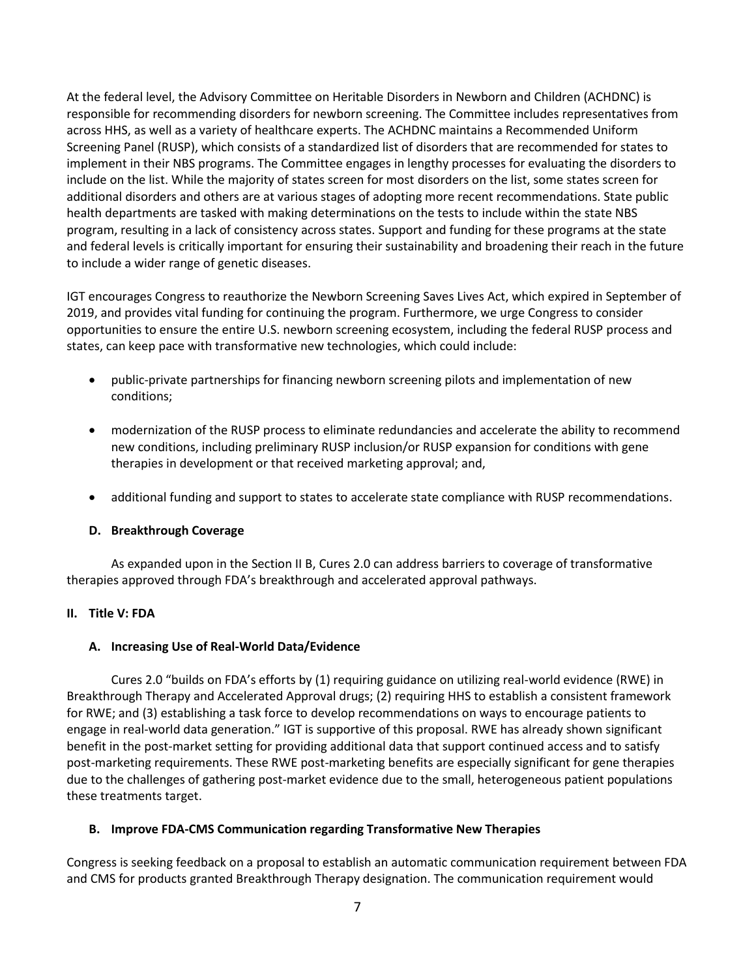At the federal level, the Advisory Committee on Heritable Disorders in Newborn and Children (ACHDNC) is responsible for recommending disorders for newborn screening. The Committee includes representatives from across HHS, as well as a variety of healthcare experts. The ACHDNC maintains a Recommended Uniform Screening Panel (RUSP), which consists of a standardized list of disorders that are recommended for states to implement in their NBS programs. The Committee engages in lengthy processes for evaluating the disorders to include on the list. While the majority of states screen for most disorders on the list, some states screen for additional disorders and others are at various stages of adopting more recent recommendations. State public health departments are tasked with making determinations on the tests to include within the state NBS program, resulting in a lack of consistency across states. Support and funding for these programs at the state and federal levels is critically important for ensuring their sustainability and broadening their reach in the future to include a wider range of genetic diseases.

IGT encourages Congress to reauthorize the Newborn Screening Saves Lives Act, which expired in September of 2019, and provides vital funding for continuing the program. Furthermore, we urge Congress to consider opportunities to ensure the entire U.S. newborn screening ecosystem, including the federal RUSP process and states, can keep pace with transformative new technologies, which could include:

- public-private partnerships for financing newborn screening pilots and implementation of new conditions;
- modernization of the RUSP process to eliminate redundancies and accelerate the ability to recommend new conditions, including preliminary RUSP inclusion/or RUSP expansion for conditions with gene therapies in development or that received marketing approval; and,
- additional funding and support to states to accelerate state compliance with RUSP recommendations.

### **D. Breakthrough Coverage**

As expanded upon in the Section II B, Cures 2.0 can address barriers to coverage of transformative therapies approved through FDA's breakthrough and accelerated approval pathways.

### **II. Title V: FDA**

### **A. Increasing Use of Real-World Data/Evidence**

Cures 2.0 "builds on FDA's efforts by (1) requiring guidance on utilizing real-world evidence (RWE) in Breakthrough Therapy and Accelerated Approval drugs; (2) requiring HHS to establish a consistent framework for RWE; and (3) establishing a task force to develop recommendations on ways to encourage patients to engage in real-world data generation." IGT is supportive of this proposal. RWE has already shown significant benefit in the post-market setting for providing additional data that support continued access and to satisfy post-marketing requirements. These RWE post-marketing benefits are especially significant for gene therapies due to the challenges of gathering post-market evidence due to the small, heterogeneous patient populations these treatments target.

### **B. Improve FDA-CMS Communication regarding Transformative New Therapies**

Congress is seeking feedback on a proposal to establish an automatic communication requirement between FDA and CMS for products granted Breakthrough Therapy designation. The communication requirement would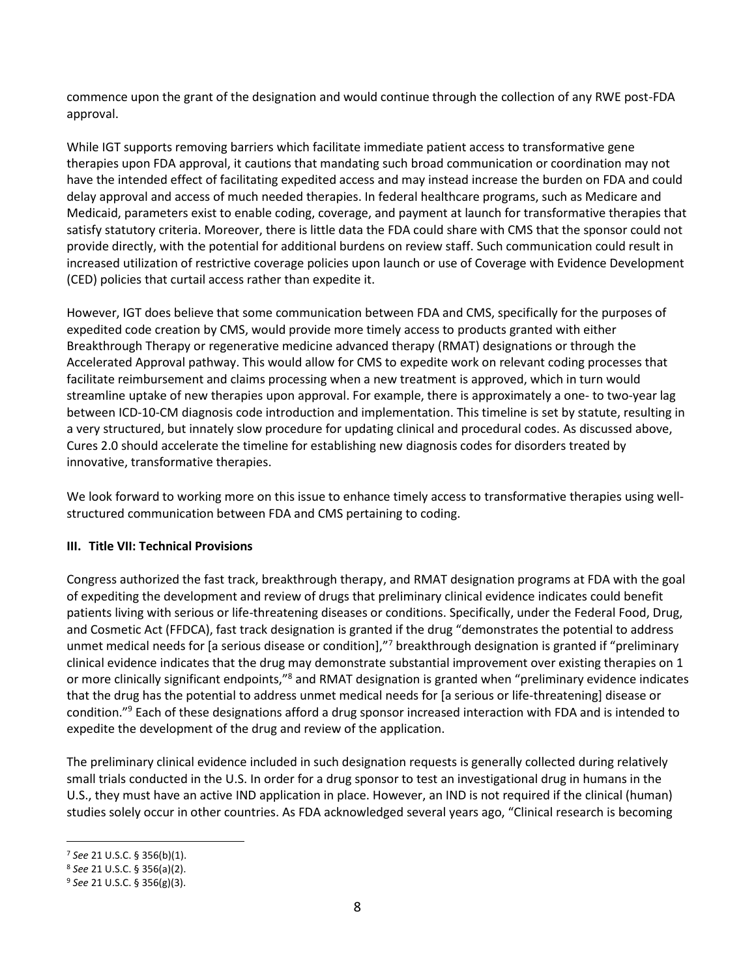commence upon the grant of the designation and would continue through the collection of any RWE post-FDA approval.

While IGT supports removing barriers which facilitate immediate patient access to transformative gene therapies upon FDA approval, it cautions that mandating such broad communication or coordination may not have the intended effect of facilitating expedited access and may instead increase the burden on FDA and could delay approval and access of much needed therapies. In federal healthcare programs, such as Medicare and Medicaid, parameters exist to enable coding, coverage, and payment at launch for transformative therapies that satisfy statutory criteria. Moreover, there is little data the FDA could share with CMS that the sponsor could not provide directly, with the potential for additional burdens on review staff. Such communication could result in increased utilization of restrictive coverage policies upon launch or use of Coverage with Evidence Development (CED) policies that curtail access rather than expedite it.

However, IGT does believe that some communication between FDA and CMS, specifically for the purposes of expedited code creation by CMS, would provide more timely access to products granted with either Breakthrough Therapy or regenerative medicine advanced therapy (RMAT) designations or through the Accelerated Approval pathway. This would allow for CMS to expedite work on relevant coding processes that facilitate reimbursement and claims processing when a new treatment is approved, which in turn would streamline uptake of new therapies upon approval. For example, there is approximately a one- to two-year lag between ICD-10-CM diagnosis code introduction and implementation. This timeline is set by statute, resulting in a very structured, but innately slow procedure for updating clinical and procedural codes. As discussed above, Cures 2.0 should accelerate the timeline for establishing new diagnosis codes for disorders treated by innovative, transformative therapies.

We look forward to working more on this issue to enhance timely access to transformative therapies using wellstructured communication between FDA and CMS pertaining to coding.

# **III. Title VII: Technical Provisions**

Congress authorized the fast track, breakthrough therapy, and RMAT designation programs at FDA with the goal of expediting the development and review of drugs that preliminary clinical evidence indicates could benefit patients living with serious or life-threatening diseases or conditions. Specifically, under the Federal Food, Drug, and Cosmetic Act (FFDCA), fast track designation is granted if the drug "demonstrates the potential to address unmet medical needs for [a serious disease or condition],"<sup>7</sup> breakthrough designation is granted if "preliminary clinical evidence indicates that the drug may demonstrate substantial improvement over existing therapies on 1 or more clinically significant endpoints,"<sup>8</sup> and RMAT designation is granted when "preliminary evidence indicates that the drug has the potential to address unmet medical needs for [a serious or life-threatening] disease or condition."<sup>9</sup> Each of these designations afford a drug sponsor increased interaction with FDA and is intended to expedite the development of the drug and review of the application.

The preliminary clinical evidence included in such designation requests is generally collected during relatively small trials conducted in the U.S. In order for a drug sponsor to test an investigational drug in humans in the U.S., they must have an active IND application in place. However, an IND is not required if the clinical (human) studies solely occur in other countries. As FDA acknowledged several years ago, "Clinical research is becoming

 $\overline{a}$ 

<sup>7</sup> *See* 21 U.S.C. § 356(b)(1).

<sup>8</sup> *See* 21 U.S.C. § 356(a)(2).

<sup>9</sup> *See* 21 U.S.C. § 356(g)(3).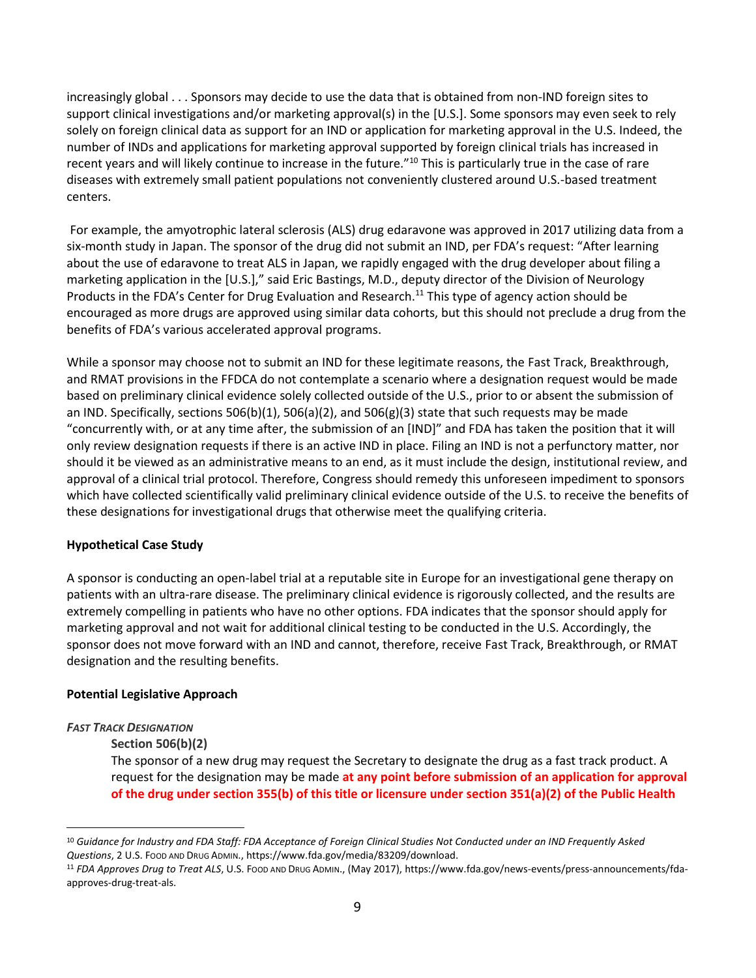increasingly global . . . Sponsors may decide to use the data that is obtained from non-IND foreign sites to support clinical investigations and/or marketing approval(s) in the [U.S.]. Some sponsors may even seek to rely solely on foreign clinical data as support for an IND or application for marketing approval in the U.S. Indeed, the number of INDs and applications for marketing approval supported by foreign clinical trials has increased in recent years and will likely continue to increase in the future."<sup>10</sup> This is particularly true in the case of rare diseases with extremely small patient populations not conveniently clustered around U.S.-based treatment centers.

For example, the amyotrophic lateral sclerosis (ALS) drug edaravone was approved in 2017 utilizing data from a six-month study in Japan. The sponsor of the drug did not submit an IND, per FDA's request: "After learning about the use of edaravone to treat ALS in Japan, we rapidly engaged with the drug developer about filing a marketing application in the [U.S.]," said Eric Bastings, M.D., deputy director of the Division of Neurology Products in the FDA's Center for Drug Evaluation and Research.<sup>11</sup> This type of agency action should be encouraged as more drugs are approved using similar data cohorts, but this should not preclude a drug from the benefits of FDA's various accelerated approval programs.

While a sponsor may choose not to submit an IND for these legitimate reasons, the Fast Track, Breakthrough, and RMAT provisions in the FFDCA do not contemplate a scenario where a designation request would be made based on preliminary clinical evidence solely collected outside of the U.S., prior to or absent the submission of an IND. Specifically, sections 506(b)(1), 506(a)(2), and 506(g)(3) state that such requests may be made "concurrently with, or at any time after, the submission of an [IND]" and FDA has taken the position that it will only review designation requests if there is an active IND in place. Filing an IND is not a perfunctory matter, nor should it be viewed as an administrative means to an end, as it must include the design, institutional review, and approval of a clinical trial protocol. Therefore, Congress should remedy this unforeseen impediment to sponsors which have collected scientifically valid preliminary clinical evidence outside of the U.S. to receive the benefits of these designations for investigational drugs that otherwise meet the qualifying criteria.

### **Hypothetical Case Study**

A sponsor is conducting an open-label trial at a reputable site in Europe for an investigational gene therapy on patients with an ultra-rare disease. The preliminary clinical evidence is rigorously collected, and the results are extremely compelling in patients who have no other options. FDA indicates that the sponsor should apply for marketing approval and not wait for additional clinical testing to be conducted in the U.S. Accordingly, the sponsor does not move forward with an IND and cannot, therefore, receive Fast Track, Breakthrough, or RMAT designation and the resulting benefits.

### **Potential Legislative Approach**

### *FAST TRACK DESIGNATION*

 $\overline{a}$ 

### **Section 506(b)(2)**

The sponsor of a new drug may request the Secretary to designate the drug as a fast track product. A request for the designation may be made **at any point before submission of an application for approval of the drug under section 355(b) of this title or licensure under section 351(a)(2) of the Public Health** 

<sup>10</sup> *Guidance for Industry and FDA Staff: FDA Acceptance of Foreign Clinical Studies Not Conducted under an IND Frequently Asked Questions*, 2 U.S. FOOD AND DRUG ADMIN., https://www.fda.gov/media/83209/download.

<sup>11</sup> *FDA Approves Drug to Treat ALS*, U.S. FOOD AND DRUG ADMIN., (May 2017), https://www.fda.gov/news-events/press-announcements/fdaapproves-drug-treat-als.